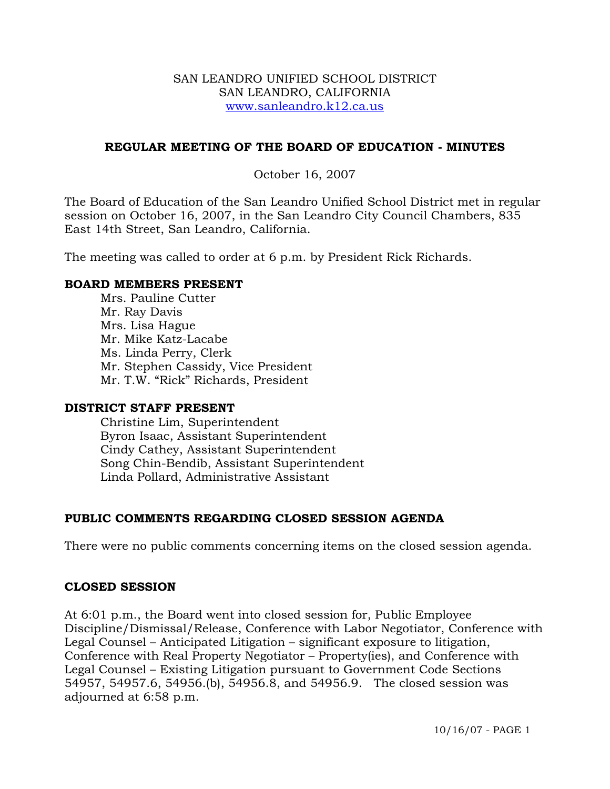#### SAN LEANDRO UNIFIED SCHOOL DISTRICT SAN LEANDRO, CALIFORNIA www.sanleandro.k12.ca.us

### **REGULAR MEETING OF THE BOARD OF EDUCATION - MINUTES**

### October 16, 2007

The Board of Education of the San Leandro Unified School District met in regular session on October 16, 2007, in the San Leandro City Council Chambers, 835 East 14th Street, San Leandro, California.

The meeting was called to order at 6 p.m. by President Rick Richards.

#### **BOARD MEMBERS PRESENT**

Mrs. Pauline Cutter Mr. Ray Davis Mrs. Lisa Hague Mr. Mike Katz-Lacabe Ms. Linda Perry, Clerk Mr. Stephen Cassidy, Vice President Mr. T.W. "Rick" Richards, President

#### **DISTRICT STAFF PRESENT**

Christine Lim, Superintendent Byron Isaac, Assistant Superintendent Cindy Cathey, Assistant Superintendent Song Chin-Bendib, Assistant Superintendent Linda Pollard, Administrative Assistant

## **PUBLIC COMMENTS REGARDING CLOSED SESSION AGENDA**

There were no public comments concerning items on the closed session agenda.

#### **CLOSED SESSION**

At 6:01 p.m., the Board went into closed session for, Public Employee Discipline/Dismissal/Release, Conference with Labor Negotiator, Conference with Legal Counsel – Anticipated Litigation – significant exposure to litigation, Conference with Real Property Negotiator – Property(ies), and Conference with Legal Counsel – Existing Litigation pursuant to Government Code Sections 54957, 54957.6, 54956.(b), 54956.8, and 54956.9. The closed session was adjourned at 6:58 p.m.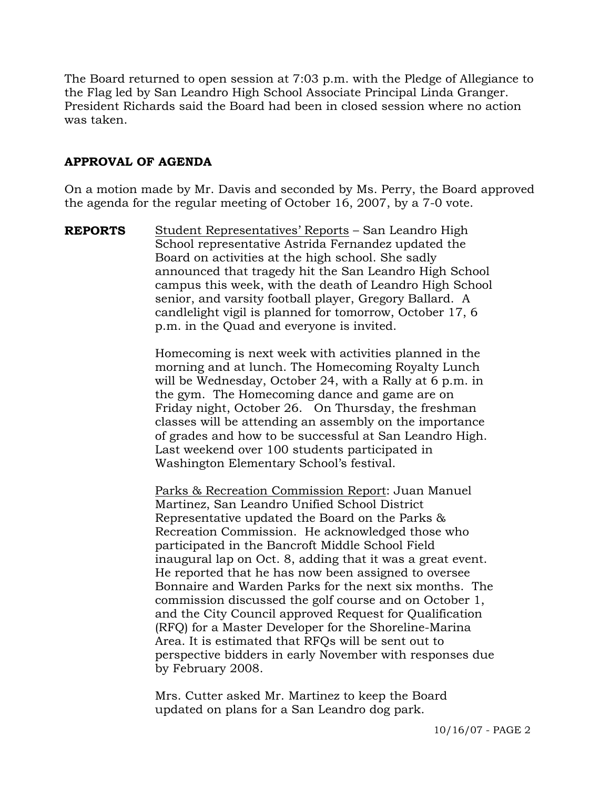The Board returned to open session at 7:03 p.m. with the Pledge of Allegiance to the Flag led by San Leandro High School Associate Principal Linda Granger. President Richards said the Board had been in closed session where no action was taken.

# **APPROVAL OF AGENDA**

On a motion made by Mr. Davis and seconded by Ms. Perry, the Board approved the agenda for the regular meeting of October 16, 2007, by a 7-0 vote.

**REPORTS** Student Representatives' Reports – San Leandro High School representative Astrida Fernandez updated the Board on activities at the high school. She sadly announced that tragedy hit the San Leandro High School campus this week, with the death of Leandro High School senior, and varsity football player, Gregory Ballard. A candlelight vigil is planned for tomorrow, October 17, 6 p.m. in the Quad and everyone is invited.

> Homecoming is next week with activities planned in the morning and at lunch. The Homecoming Royalty Lunch will be Wednesday, October 24, with a Rally at 6 p.m. in the gym. The Homecoming dance and game are on Friday night, October 26. On Thursday, the freshman classes will be attending an assembly on the importance of grades and how to be successful at San Leandro High. Last weekend over 100 students participated in Washington Elementary School's festival.

 Parks & Recreation Commission Report: Juan Manuel Martinez, San Leandro Unified School District Representative updated the Board on the Parks & Recreation Commission. He acknowledged those who participated in the Bancroft Middle School Field inaugural lap on Oct. 8, adding that it was a great event. He reported that he has now been assigned to oversee Bonnaire and Warden Parks for the next six months. The commission discussed the golf course and on October 1, and the City Council approved Request for Qualification (RFQ) for a Master Developer for the Shoreline-Marina Area. It is estimated that RFQs will be sent out to perspective bidders in early November with responses due by February 2008.

Mrs. Cutter asked Mr. Martinez to keep the Board updated on plans for a San Leandro dog park.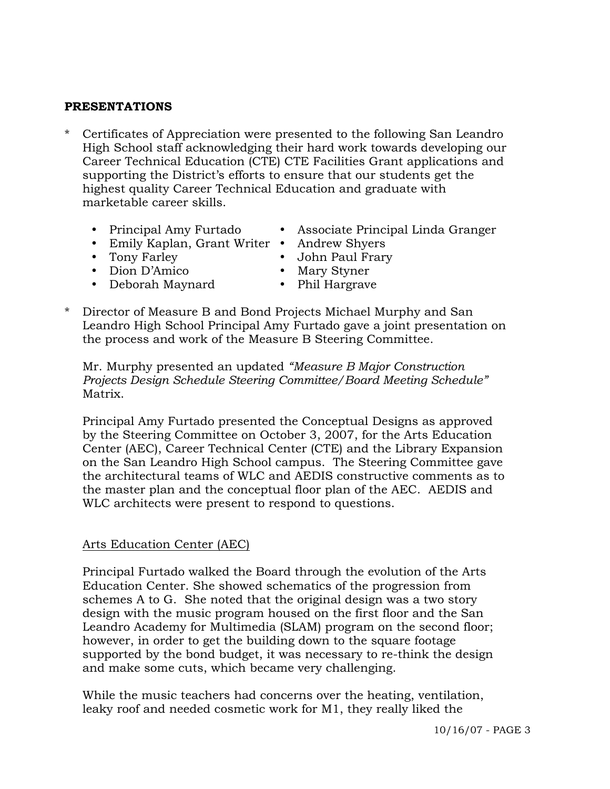# **PRESENTATIONS**

- \* Certificates of Appreciation were presented to the following San Leandro High School staff acknowledging their hard work towards developing our Career Technical Education (CTE) CTE Facilities Grant applications and supporting the District's efforts to ensure that our students get the highest quality Career Technical Education and graduate with marketable career skills.
	-
	- Principal Amy Furtado Associate Principal Linda Granger
	- Emily Kaplan, Grant Writer Andrew Shyers
	- Tony Farley **y Gold Communist Practice Communist Practice Communist Practice Communist Practice Communist Practice Communist Practice Communist Practice Communist Practice Communist Practice Communist Practice Communist**
	- Dion D'Amico Mary Styner
	- Deborah Maynard Phil Hargrave
- 
- 
- \* Director of Measure B and Bond Projects Michael Murphy and San Leandro High School Principal Amy Furtado gave a joint presentation on the process and work of the Measure B Steering Committee.

Mr. Murphy presented an updated *"Measure B Major Construction Projects Design Schedule Steering Committee/Board Meeting Schedule"*  Matrix.

Principal Amy Furtado presented the Conceptual Designs as approved by the Steering Committee on October 3, 2007, for the Arts Education Center (AEC), Career Technical Center (CTE) and the Library Expansion on the San Leandro High School campus. The Steering Committee gave the architectural teams of WLC and AEDIS constructive comments as to the master plan and the conceptual floor plan of the AEC. AEDIS and WLC architects were present to respond to questions.

## Arts Education Center (AEC)

Principal Furtado walked the Board through the evolution of the Arts Education Center. She showed schematics of the progression from schemes A to G. She noted that the original design was a two story design with the music program housed on the first floor and the San Leandro Academy for Multimedia (SLAM) program on the second floor; however, in order to get the building down to the square footage supported by the bond budget, it was necessary to re-think the design and make some cuts, which became very challenging.

While the music teachers had concerns over the heating, ventilation, leaky roof and needed cosmetic work for M1, they really liked the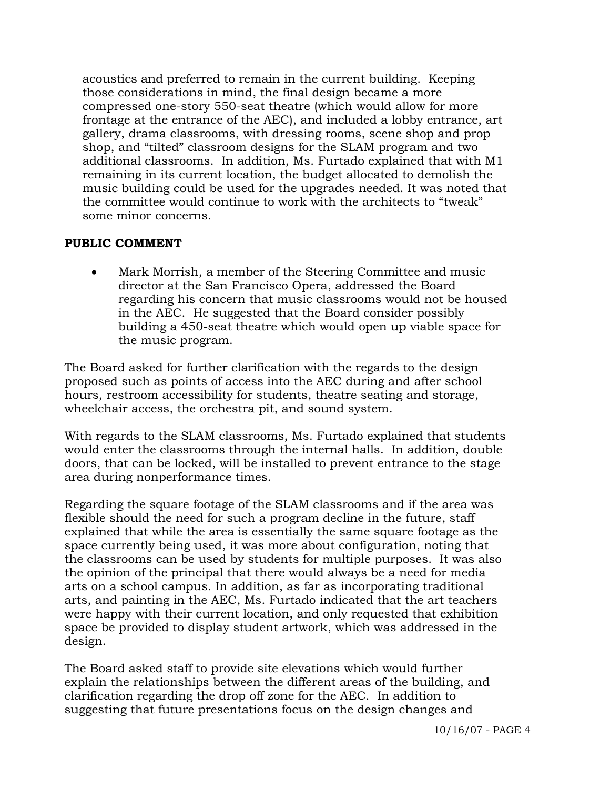acoustics and preferred to remain in the current building. Keeping those considerations in mind, the final design became a more compressed one-story 550-seat theatre (which would allow for more frontage at the entrance of the AEC), and included a lobby entrance, art gallery, drama classrooms, with dressing rooms, scene shop and prop shop, and "tilted" classroom designs for the SLAM program and two additional classrooms. In addition, Ms. Furtado explained that with M1 remaining in its current location, the budget allocated to demolish the music building could be used for the upgrades needed. It was noted that the committee would continue to work with the architects to "tweak" some minor concerns.

# **PUBLIC COMMENT**

• Mark Morrish, a member of the Steering Committee and music director at the San Francisco Opera, addressed the Board regarding his concern that music classrooms would not be housed in the AEC. He suggested that the Board consider possibly building a 450-seat theatre which would open up viable space for the music program.

The Board asked for further clarification with the regards to the design proposed such as points of access into the AEC during and after school hours, restroom accessibility for students, theatre seating and storage, wheelchair access, the orchestra pit, and sound system.

With regards to the SLAM classrooms, Ms. Furtado explained that students would enter the classrooms through the internal halls. In addition, double doors, that can be locked, will be installed to prevent entrance to the stage area during nonperformance times.

Regarding the square footage of the SLAM classrooms and if the area was flexible should the need for such a program decline in the future, staff explained that while the area is essentially the same square footage as the space currently being used, it was more about configuration, noting that the classrooms can be used by students for multiple purposes. It was also the opinion of the principal that there would always be a need for media arts on a school campus. In addition, as far as incorporating traditional arts, and painting in the AEC, Ms. Furtado indicated that the art teachers were happy with their current location, and only requested that exhibition space be provided to display student artwork, which was addressed in the design.

The Board asked staff to provide site elevations which would further explain the relationships between the different areas of the building, and clarification regarding the drop off zone for the AEC. In addition to suggesting that future presentations focus on the design changes and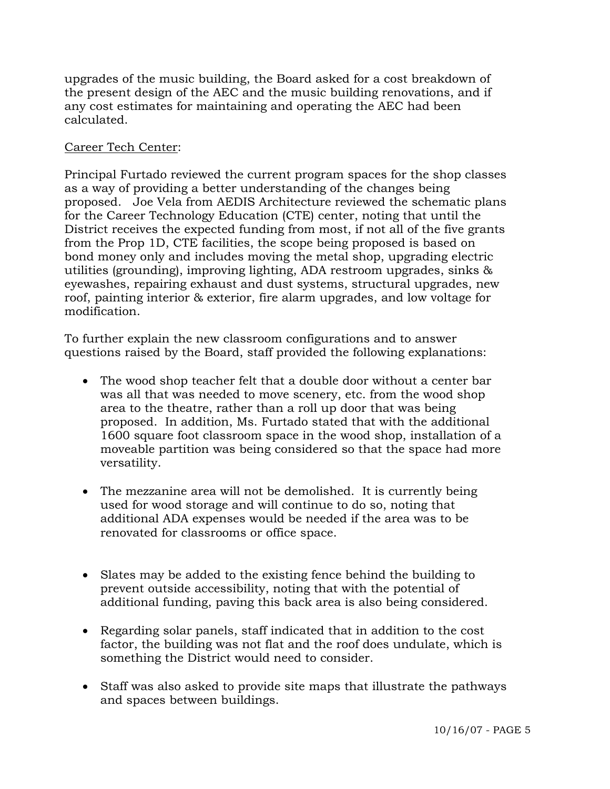upgrades of the music building, the Board asked for a cost breakdown of the present design of the AEC and the music building renovations, and if any cost estimates for maintaining and operating the AEC had been calculated.

# Career Tech Center:

Principal Furtado reviewed the current program spaces for the shop classes as a way of providing a better understanding of the changes being proposed. Joe Vela from AEDIS Architecture reviewed the schematic plans for the Career Technology Education (CTE) center, noting that until the District receives the expected funding from most, if not all of the five grants from the Prop 1D, CTE facilities, the scope being proposed is based on bond money only and includes moving the metal shop, upgrading electric utilities (grounding), improving lighting, ADA restroom upgrades, sinks & eyewashes, repairing exhaust and dust systems, structural upgrades, new roof, painting interior & exterior, fire alarm upgrades, and low voltage for modification.

To further explain the new classroom configurations and to answer questions raised by the Board, staff provided the following explanations:

- The wood shop teacher felt that a double door without a center bar was all that was needed to move scenery, etc. from the wood shop area to the theatre, rather than a roll up door that was being proposed. In addition, Ms. Furtado stated that with the additional 1600 square foot classroom space in the wood shop, installation of a moveable partition was being considered so that the space had more versatility.
- The mezzanine area will not be demolished. It is currently being used for wood storage and will continue to do so, noting that additional ADA expenses would be needed if the area was to be renovated for classrooms or office space.
- Slates may be added to the existing fence behind the building to prevent outside accessibility, noting that with the potential of additional funding, paving this back area is also being considered.
- Regarding solar panels, staff indicated that in addition to the cost factor, the building was not flat and the roof does undulate, which is something the District would need to consider.
- Staff was also asked to provide site maps that illustrate the pathways and spaces between buildings.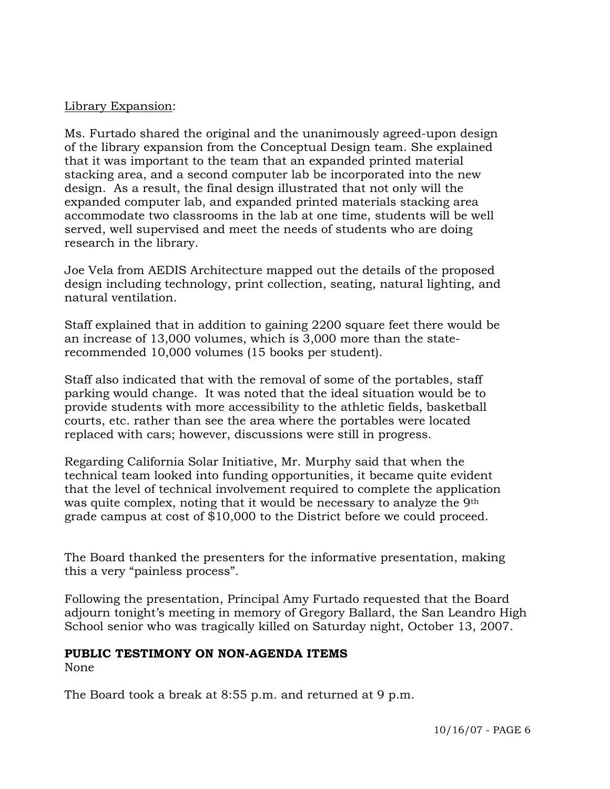### Library Expansion:

Ms. Furtado shared the original and the unanimously agreed-upon design of the library expansion from the Conceptual Design team. She explained that it was important to the team that an expanded printed material stacking area, and a second computer lab be incorporated into the new design. As a result, the final design illustrated that not only will the expanded computer lab, and expanded printed materials stacking area accommodate two classrooms in the lab at one time, students will be well served, well supervised and meet the needs of students who are doing research in the library.

Joe Vela from AEDIS Architecture mapped out the details of the proposed design including technology, print collection, seating, natural lighting, and natural ventilation.

Staff explained that in addition to gaining 2200 square feet there would be an increase of 13,000 volumes, which is 3,000 more than the staterecommended 10,000 volumes (15 books per student).

Staff also indicated that with the removal of some of the portables, staff parking would change. It was noted that the ideal situation would be to provide students with more accessibility to the athletic fields, basketball courts, etc. rather than see the area where the portables were located replaced with cars; however, discussions were still in progress.

Regarding California Solar Initiative, Mr. Murphy said that when the technical team looked into funding opportunities, it became quite evident that the level of technical involvement required to complete the application was quite complex, noting that it would be necessary to analyze the 9th grade campus at cost of \$10,000 to the District before we could proceed.

The Board thanked the presenters for the informative presentation, making this a very "painless process".

Following the presentation, Principal Amy Furtado requested that the Board adjourn tonight's meeting in memory of Gregory Ballard, the San Leandro High School senior who was tragically killed on Saturday night, October 13, 2007.

#### **PUBLIC TESTIMONY ON NON-AGENDA ITEMS**

None

The Board took a break at 8:55 p.m. and returned at 9 p.m.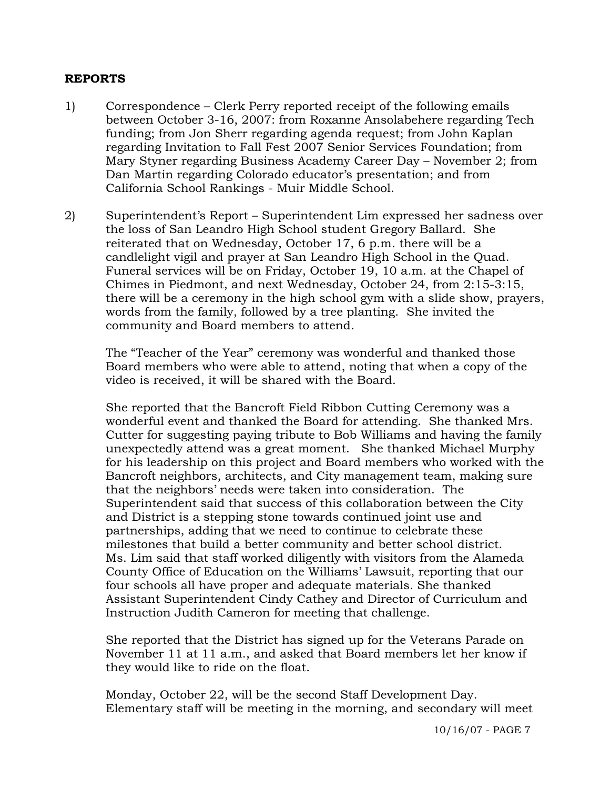### **REPORTS**

- 1) Correspondence Clerk Perry reported receipt of the following emails between October 3-16, 2007: from Roxanne Ansolabehere regarding Tech funding; from Jon Sherr regarding agenda request; from John Kaplan regarding Invitation to Fall Fest 2007 Senior Services Foundation; from Mary Styner regarding Business Academy Career Day – November 2; from Dan Martin regarding Colorado educator's presentation; and from California School Rankings - Muir Middle School.
- 2) Superintendent's Report Superintendent Lim expressed her sadness over the loss of San Leandro High School student Gregory Ballard. She reiterated that on Wednesday, October 17, 6 p.m. there will be a candlelight vigil and prayer at San Leandro High School in the Quad. Funeral services will be on Friday, October 19, 10 a.m. at the Chapel of Chimes in Piedmont, and next Wednesday, October 24, from 2:15-3:15, there will be a ceremony in the high school gym with a slide show, prayers, words from the family, followed by a tree planting. She invited the community and Board members to attend.

The "Teacher of the Year" ceremony was wonderful and thanked those Board members who were able to attend, noting that when a copy of the video is received, it will be shared with the Board.

She reported that the Bancroft Field Ribbon Cutting Ceremony was a wonderful event and thanked the Board for attending. She thanked Mrs. Cutter for suggesting paying tribute to Bob Williams and having the family unexpectedly attend was a great moment. She thanked Michael Murphy for his leadership on this project and Board members who worked with the Bancroft neighbors, architects, and City management team, making sure that the neighbors' needs were taken into consideration. The Superintendent said that success of this collaboration between the City and District is a stepping stone towards continued joint use and partnerships, adding that we need to continue to celebrate these milestones that build a better community and better school district. Ms. Lim said that staff worked diligently with visitors from the Alameda County Office of Education on the Williams' Lawsuit, reporting that our four schools all have proper and adequate materials. She thanked Assistant Superintendent Cindy Cathey and Director of Curriculum and Instruction Judith Cameron for meeting that challenge.

She reported that the District has signed up for the Veterans Parade on November 11 at 11 a.m., and asked that Board members let her know if they would like to ride on the float.

Monday, October 22, will be the second Staff Development Day. Elementary staff will be meeting in the morning, and secondary will meet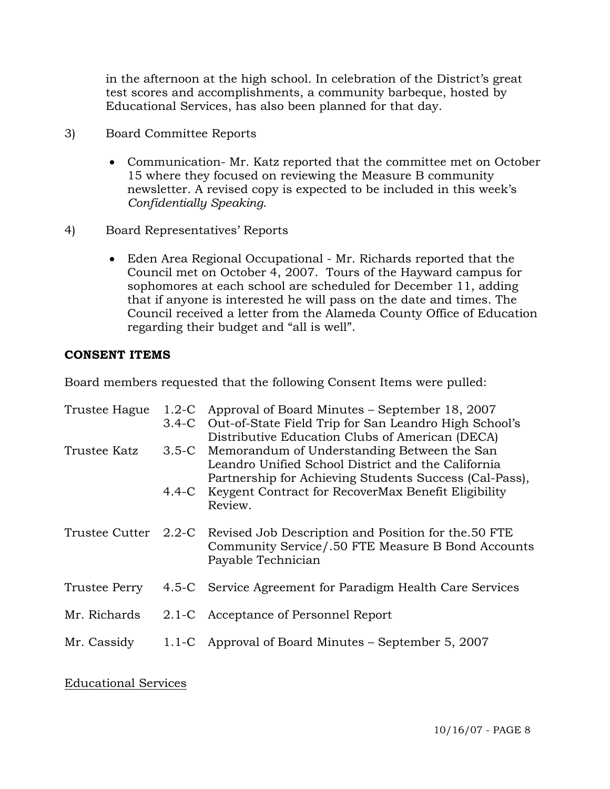in the afternoon at the high school. In celebration of the District's great test scores and accomplishments, a community barbeque, hosted by Educational Services, has also been planned for that day.

- 3) Board Committee Reports
	- Communication- Mr. Katz reported that the committee met on October 15 where they focused on reviewing the Measure B community newsletter. A revised copy is expected to be included in this week's *Confidentially Speaking*.
- 4) Board Representatives' Reports
	- Eden Area Regional Occupational Mr. Richards reported that the Council met on October 4, 2007. Tours of the Hayward campus for sophomores at each school are scheduled for December 11, adding that if anyone is interested he will pass on the date and times. The Council received a letter from the Alameda County Office of Education regarding their budget and "all is well".

## **CONSENT ITEMS**

Board members requested that the following Consent Items were pulled:

| Trustee Hague | $1.2\text{-C}$ | Approval of Board Minutes – September 18, 2007                           |
|---------------|----------------|--------------------------------------------------------------------------|
|               |                | 3.4-C Out-of-State Field Trip for San Leandro High School's              |
|               |                | Distributive Education Clubs of American (DECA)                          |
| Trustee Katz  |                | 3.5-C Memorandum of Understanding Between the San                        |
|               |                | Leandro Unified School District and the California                       |
|               |                | Partnership for Achieving Students Success (Cal-Pass),                   |
|               |                | 4.4-C Keygent Contract for RecoverMax Benefit Eligibility                |
|               |                | Review.                                                                  |
|               |                | Trustee Cutter 2.2-C Revised Job Description and Position for the 50 FTE |
|               |                | Community Service/.50 FTE Measure B Bond Accounts                        |
|               |                | Payable Technician                                                       |
| Trustee Perry |                | 4.5-C Service Agreement for Paradigm Health Care Services                |
|               |                |                                                                          |
| Mr. Richards  |                | 2.1-C Acceptance of Personnel Report                                     |
|               |                |                                                                          |
| Mr. Cassidy   |                | 1.1-C Approval of Board Minutes – September 5, 2007                      |
|               |                |                                                                          |

## Educational Services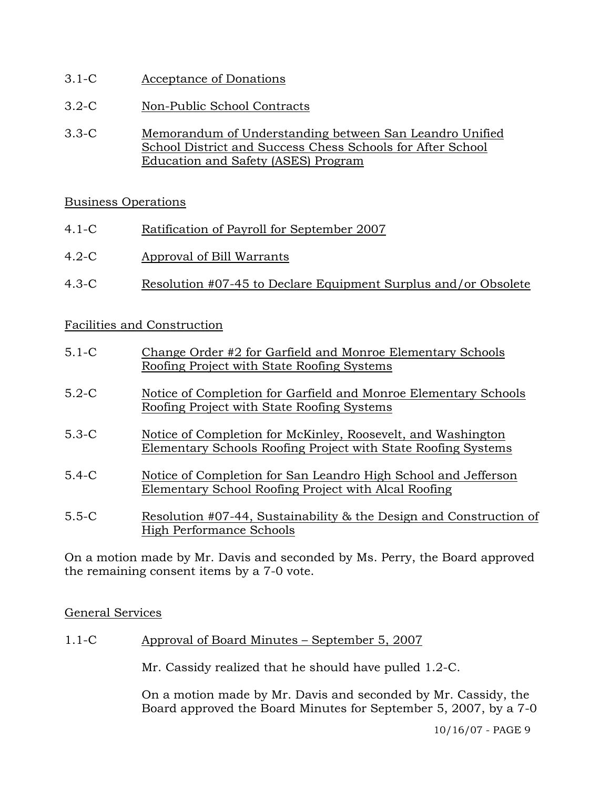- 3.1-C Acceptance of Donations
- 3.2-C Non-Public School Contracts
- 3.3-C Memorandum of Understanding between San Leandro Unified School District and Success Chess Schools for After School Education and Safety (ASES) Program

## Business Operations

- 4.1-C Ratification of Payroll for September 2007
- 4.2-C Approval of Bill Warrants
- 4.3-C Resolution #07-45 to Declare Equipment Surplus and/or Obsolete

## Facilities and Construction

| $5.1-C$ | Change Order #2 for Garfield and Monroe Elementary Schools      |
|---------|-----------------------------------------------------------------|
|         | Roofing Project with State Roofing Systems                      |
| $5.2-C$ | Notice of Completion for Garfield and Monroe Elementary Schools |
|         | Roofing Project with State Roofing Systems                      |

- 5.3-C Notice of Completion for McKinley, Roosevelt, and Washington Elementary Schools Roofing Project with State Roofing Systems
- 5.4-C Notice of Completion for San Leandro High School and Jefferson Elementary School Roofing Project with Alcal Roofing
- 5.5-C Resolution #07-44, Sustainability & the Design and Construction of High Performance Schools

On a motion made by Mr. Davis and seconded by Ms. Perry, the Board approved the remaining consent items by a 7-0 vote.

#### General Services

1.1-C Approval of Board Minutes – September 5, 2007

Mr. Cassidy realized that he should have pulled 1.2-C.

On a motion made by Mr. Davis and seconded by Mr. Cassidy, the Board approved the Board Minutes for September 5, 2007, by a 7-0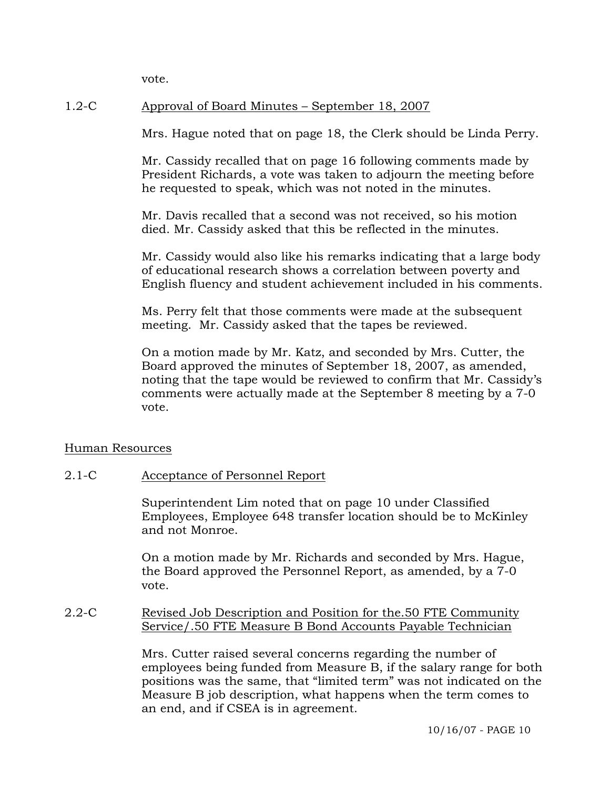vote.

# 1.2-C Approval of Board Minutes – September 18, 2007

Mrs. Hague noted that on page 18, the Clerk should be Linda Perry.

Mr. Cassidy recalled that on page 16 following comments made by President Richards, a vote was taken to adjourn the meeting before he requested to speak, which was not noted in the minutes.

Mr. Davis recalled that a second was not received, so his motion died. Mr. Cassidy asked that this be reflected in the minutes.

Mr. Cassidy would also like his remarks indicating that a large body of educational research shows a correlation between poverty and English fluency and student achievement included in his comments.

Ms. Perry felt that those comments were made at the subsequent meeting. Mr. Cassidy asked that the tapes be reviewed.

On a motion made by Mr. Katz, and seconded by Mrs. Cutter, the Board approved the minutes of September 18, 2007, as amended, noting that the tape would be reviewed to confirm that Mr. Cassidy's comments were actually made at the September 8 meeting by a 7-0 vote.

#### Human Resources

#### 2.1-C Acceptance of Personnel Report

Superintendent Lim noted that on page 10 under Classified Employees, Employee 648 transfer location should be to McKinley and not Monroe.

On a motion made by Mr. Richards and seconded by Mrs. Hague, the Board approved the Personnel Report, as amended, by a 7-0 vote.

#### 2.2-C Revised Job Description and Position for the.50 FTE Community Service/.50 FTE Measure B Bond Accounts Payable Technician

Mrs. Cutter raised several concerns regarding the number of employees being funded from Measure B, if the salary range for both positions was the same, that "limited term" was not indicated on the Measure B job description, what happens when the term comes to an end, and if CSEA is in agreement.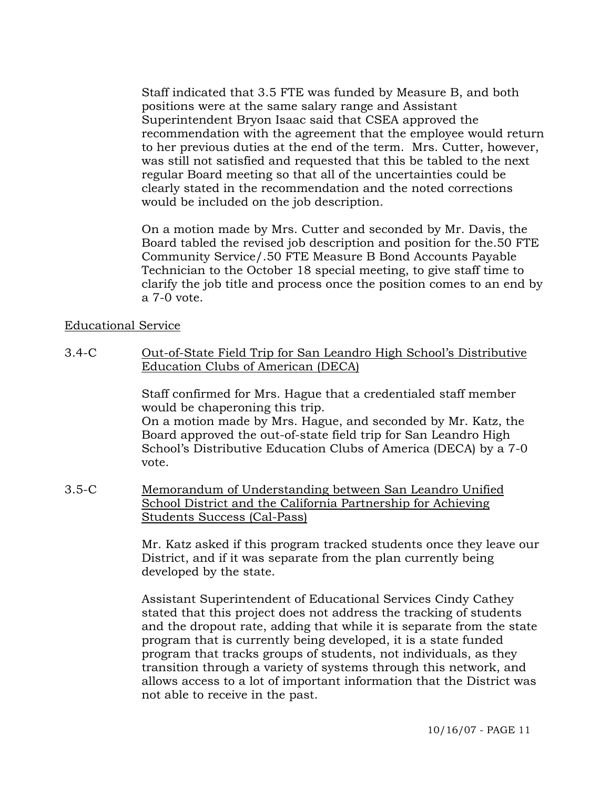Staff indicated that 3.5 FTE was funded by Measure B, and both positions were at the same salary range and Assistant Superintendent Bryon Isaac said that CSEA approved the recommendation with the agreement that the employee would return to her previous duties at the end of the term. Mrs. Cutter, however, was still not satisfied and requested that this be tabled to the next regular Board meeting so that all of the uncertainties could be clearly stated in the recommendation and the noted corrections would be included on the job description.

On a motion made by Mrs. Cutter and seconded by Mr. Davis, the Board tabled the revised job description and position for the.50 FTE Community Service/.50 FTE Measure B Bond Accounts Payable Technician to the October 18 special meeting, to give staff time to clarify the job title and process once the position comes to an end by a 7-0 vote.

## Educational Service

3.4-C Out-of-State Field Trip for San Leandro High School's Distributive Education Clubs of American (DECA)

> Staff confirmed for Mrs. Hague that a credentialed staff member would be chaperoning this trip. On a motion made by Mrs. Hague, and seconded by Mr. Katz, the Board approved the out-of-state field trip for San Leandro High School's Distributive Education Clubs of America (DECA) by a 7-0 vote.

3.5-C Memorandum of Understanding between San Leandro Unified School District and the California Partnership for Achieving Students Success (Cal-Pass)

> Mr. Katz asked if this program tracked students once they leave our District, and if it was separate from the plan currently being developed by the state.

> Assistant Superintendent of Educational Services Cindy Cathey stated that this project does not address the tracking of students and the dropout rate, adding that while it is separate from the state program that is currently being developed, it is a state funded program that tracks groups of students, not individuals, as they transition through a variety of systems through this network, and allows access to a lot of important information that the District was not able to receive in the past.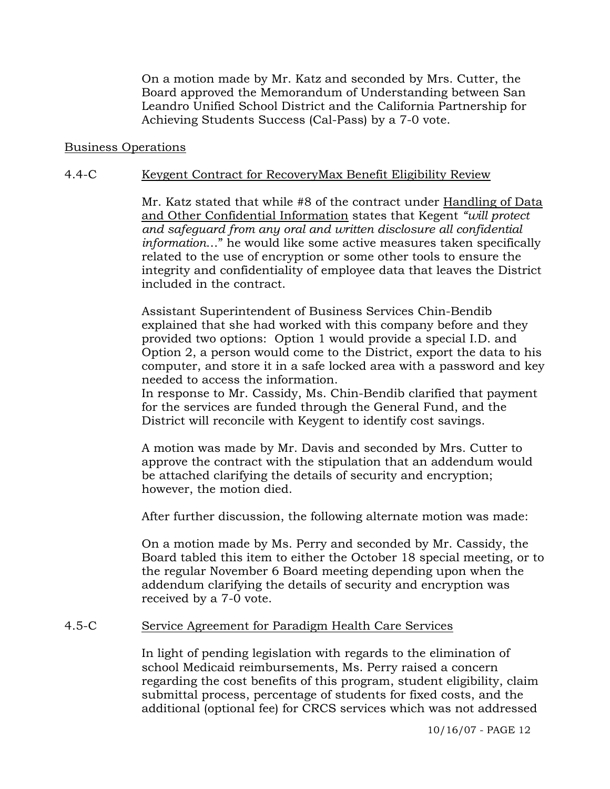On a motion made by Mr. Katz and seconded by Mrs. Cutter, the Board approved the Memorandum of Understanding between San Leandro Unified School District and the California Partnership for Achieving Students Success (Cal-Pass) by a 7-0 vote.

#### Business Operations

#### 4.4-C Keygent Contract for RecoveryMax Benefit Eligibility Review

Mr. Katz stated that while #8 of the contract under Handling of Data and Other Confidential Information states that Kegent *"will protect and safeguard from any oral and written disclosure all confidential information*…" he would like some active measures taken specifically related to the use of encryption or some other tools to ensure the integrity and confidentiality of employee data that leaves the District included in the contract.

Assistant Superintendent of Business Services Chin-Bendib explained that she had worked with this company before and they provided two options: Option 1 would provide a special I.D. and Option 2, a person would come to the District, export the data to his computer, and store it in a safe locked area with a password and key needed to access the information.

In response to Mr. Cassidy, Ms. Chin-Bendib clarified that payment for the services are funded through the General Fund, and the District will reconcile with Keygent to identify cost savings.

A motion was made by Mr. Davis and seconded by Mrs. Cutter to approve the contract with the stipulation that an addendum would be attached clarifying the details of security and encryption; however, the motion died.

After further discussion, the following alternate motion was made:

On a motion made by Ms. Perry and seconded by Mr. Cassidy, the Board tabled this item to either the October 18 special meeting, or to the regular November 6 Board meeting depending upon when the addendum clarifying the details of security and encryption was received by a 7-0 vote.

#### 4.5-C Service Agreement for Paradigm Health Care Services

In light of pending legislation with regards to the elimination of school Medicaid reimbursements, Ms. Perry raised a concern regarding the cost benefits of this program, student eligibility, claim submittal process, percentage of students for fixed costs, and the additional (optional fee) for CRCS services which was not addressed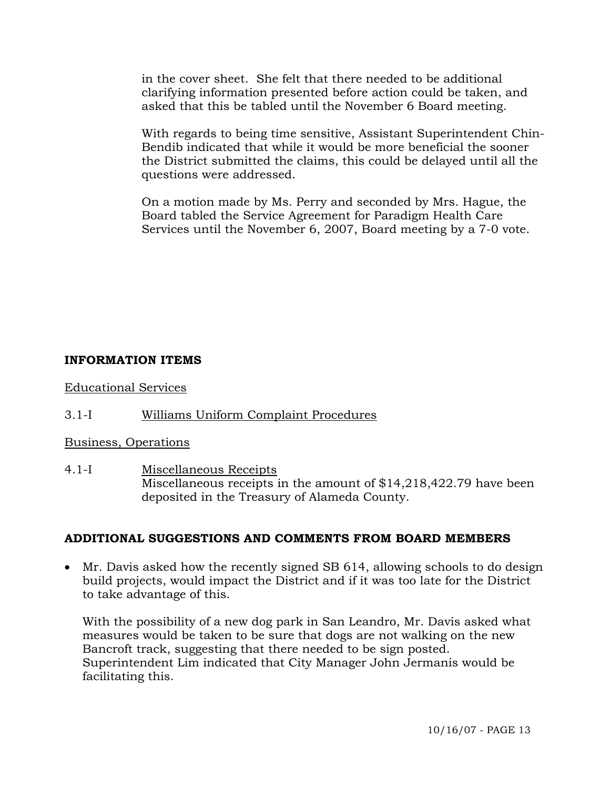in the cover sheet. She felt that there needed to be additional clarifying information presented before action could be taken, and asked that this be tabled until the November 6 Board meeting.

With regards to being time sensitive, Assistant Superintendent Chin-Bendib indicated that while it would be more beneficial the sooner the District submitted the claims, this could be delayed until all the questions were addressed.

On a motion made by Ms. Perry and seconded by Mrs. Hague, the Board tabled the Service Agreement for Paradigm Health Care Services until the November 6, 2007, Board meeting by a 7-0 vote.

## **INFORMATION ITEMS**

Educational Services

# 3.1-I Williams Uniform Complaint Procedures

## Business, Operations

4.1-I Miscellaneous Receipts Miscellaneous receipts in the amount of \$14,218,422.79 have been deposited in the Treasury of Alameda County.

## **ADDITIONAL SUGGESTIONS AND COMMENTS FROM BOARD MEMBERS**

• Mr. Davis asked how the recently signed SB 614, allowing schools to do design build projects, would impact the District and if it was too late for the District to take advantage of this.

 With the possibility of a new dog park in San Leandro, Mr. Davis asked what measures would be taken to be sure that dogs are not walking on the new Bancroft track, suggesting that there needed to be sign posted. Superintendent Lim indicated that City Manager John Jermanis would be facilitating this.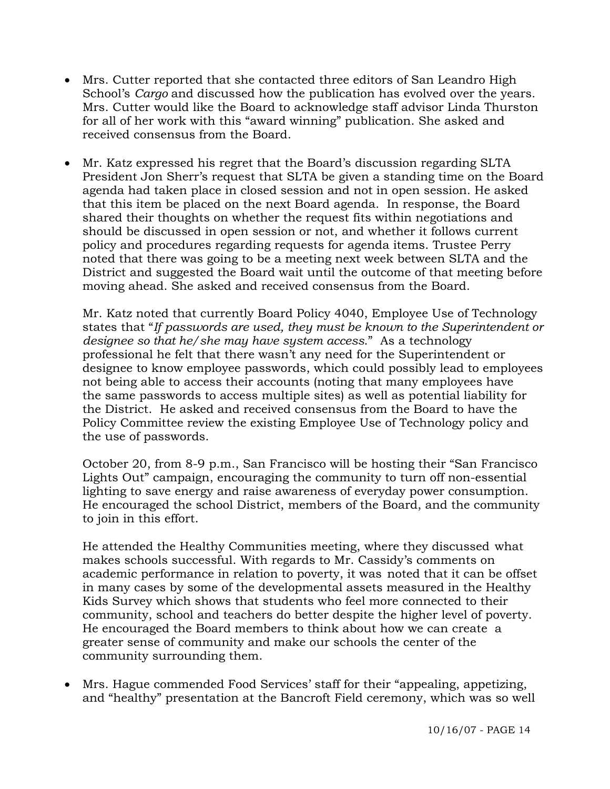- Mrs. Cutter reported that she contacted three editors of San Leandro High School's *Cargo* and discussed how the publication has evolved over the years. Mrs. Cutter would like the Board to acknowledge staff advisor Linda Thurston for all of her work with this "award winning" publication. She asked and received consensus from the Board.
- Mr. Katz expressed his regret that the Board's discussion regarding SLTA President Jon Sherr's request that SLTA be given a standing time on the Board agenda had taken place in closed session and not in open session. He asked that this item be placed on the next Board agenda. In response, the Board shared their thoughts on whether the request fits within negotiations and should be discussed in open session or not, and whether it follows current policy and procedures regarding requests for agenda items. Trustee Perry noted that there was going to be a meeting next week between SLTA and the District and suggested the Board wait until the outcome of that meeting before moving ahead. She asked and received consensus from the Board.

 Mr. Katz noted that currently Board Policy 4040, Employee Use of Technology states that "*If passwords are used, they must be known to the Superintendent or designee so that he/she may have system access*." As a technology professional he felt that there wasn't any need for the Superintendent or designee to know employee passwords, which could possibly lead to employees not being able to access their accounts (noting that many employees have the same passwords to access multiple sites) as well as potential liability for the District. He asked and received consensus from the Board to have the Policy Committee review the existing Employee Use of Technology policy and the use of passwords.

 October 20, from 8-9 p.m., San Francisco will be hosting their "San Francisco Lights Out" campaign, encouraging the community to turn off non-essential lighting to save energy and raise awareness of everyday power consumption. He encouraged the school District, members of the Board, and the community to join in this effort.

 He attended the Healthy Communities meeting, where they discussed what makes schools successful. With regards to Mr. Cassidy's comments on academic performance in relation to poverty, it was noted that it can be offset in many cases by some of the developmental assets measured in the Healthy Kids Survey which shows that students who feel more connected to their community, school and teachers do better despite the higher level of poverty. He encouraged the Board members to think about how we can create a greater sense of community and make our schools the center of the community surrounding them.

• Mrs. Hague commended Food Services' staff for their "appealing, appetizing, and "healthy" presentation at the Bancroft Field ceremony, which was so well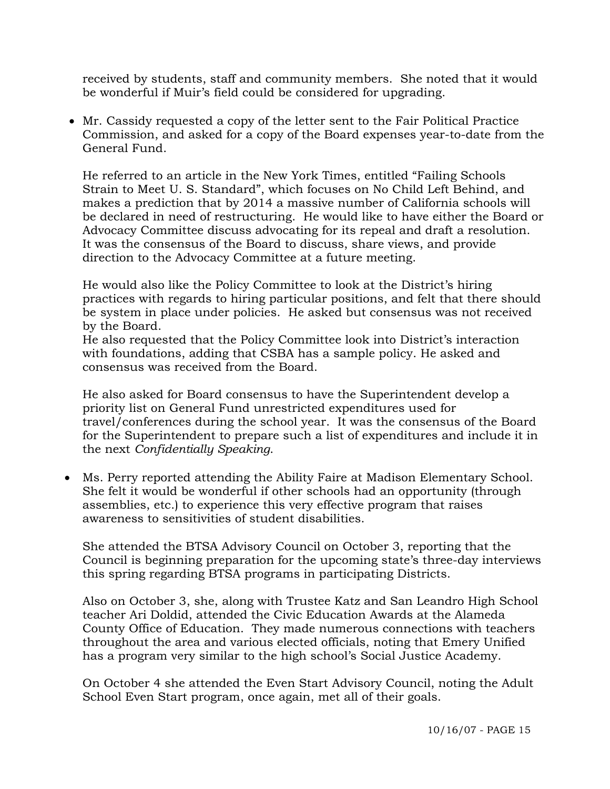received by students, staff and community members. She noted that it would be wonderful if Muir's field could be considered for upgrading.

• Mr. Cassidy requested a copy of the letter sent to the Fair Political Practice Commission, and asked for a copy of the Board expenses year-to-date from the General Fund.

 He referred to an article in the New York Times, entitled "Failing Schools Strain to Meet U. S. Standard", which focuses on No Child Left Behind, and makes a prediction that by 2014 a massive number of California schools will be declared in need of restructuring. He would like to have either the Board or Advocacy Committee discuss advocating for its repeal and draft a resolution. It was the consensus of the Board to discuss, share views, and provide direction to the Advocacy Committee at a future meeting.

 He would also like the Policy Committee to look at the District's hiring practices with regards to hiring particular positions, and felt that there should be system in place under policies. He asked but consensus was not received by the Board.

 He also requested that the Policy Committee look into District's interaction with foundations, adding that CSBA has a sample policy. He asked and consensus was received from the Board.

 He also asked for Board consensus to have the Superintendent develop a priority list on General Fund unrestricted expenditures used for travel/conferences during the school year. It was the consensus of the Board for the Superintendent to prepare such a list of expenditures and include it in the next *Confidentially Speaking*.

• Ms. Perry reported attending the Ability Faire at Madison Elementary School. She felt it would be wonderful if other schools had an opportunity (through assemblies, etc.) to experience this very effective program that raises awareness to sensitivities of student disabilities.

 She attended the BTSA Advisory Council on October 3, reporting that the Council is beginning preparation for the upcoming state's three-day interviews this spring regarding BTSA programs in participating Districts.

 Also on October 3, she, along with Trustee Katz and San Leandro High School teacher Ari Doldid, attended the Civic Education Awards at the Alameda County Office of Education. They made numerous connections with teachers throughout the area and various elected officials, noting that Emery Unified has a program very similar to the high school's Social Justice Academy.

 On October 4 she attended the Even Start Advisory Council, noting the Adult School Even Start program, once again, met all of their goals.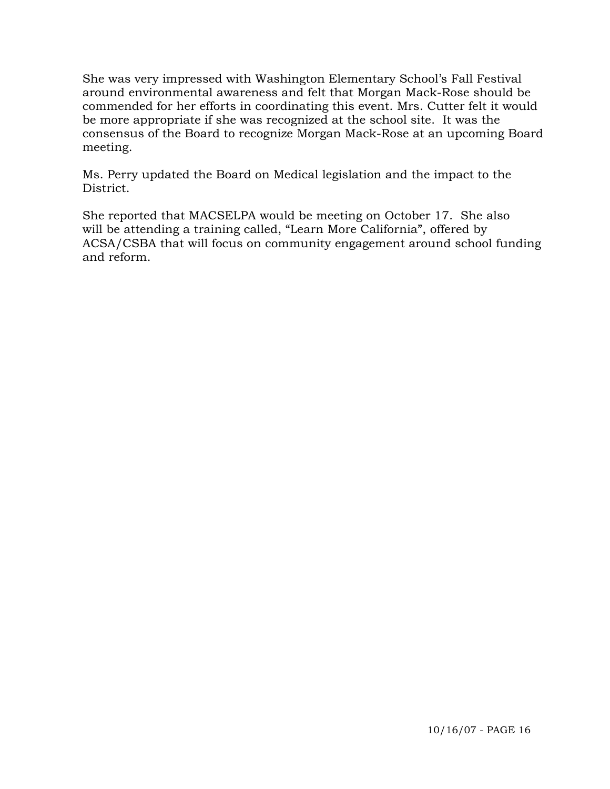She was very impressed with Washington Elementary School's Fall Festival around environmental awareness and felt that Morgan Mack-Rose should be commended for her efforts in coordinating this event. Mrs. Cutter felt it would be more appropriate if she was recognized at the school site. It was the consensus of the Board to recognize Morgan Mack-Rose at an upcoming Board meeting.

Ms. Perry updated the Board on Medical legislation and the impact to the District.

 She reported that MACSELPA would be meeting on October 17. She also will be attending a training called, "Learn More California", offered by ACSA/CSBA that will focus on community engagement around school funding and reform.